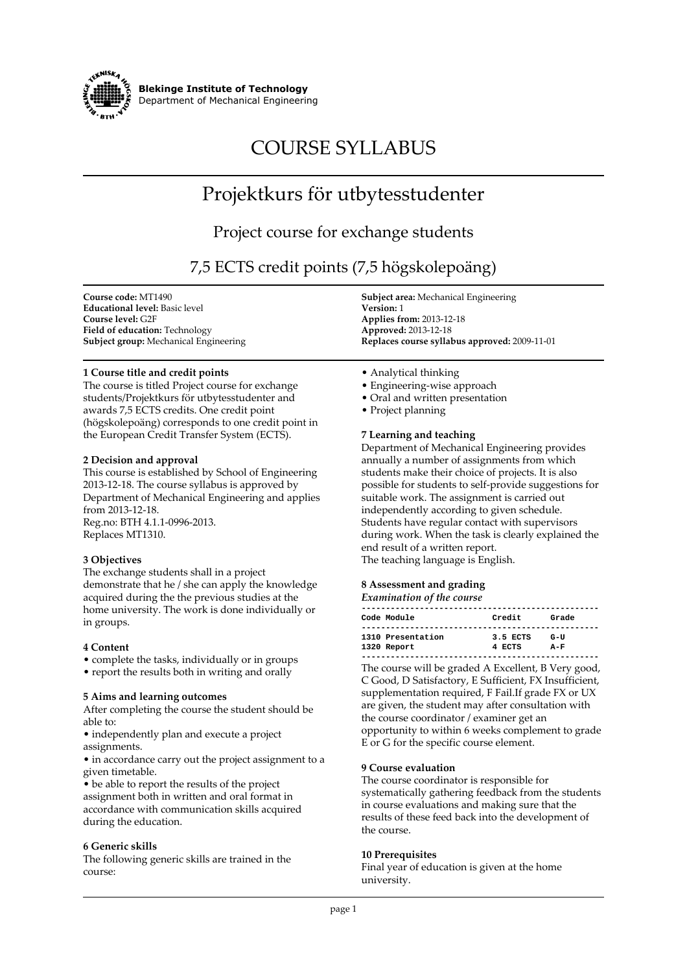

**Blekinge Institute of Technology Department of Mechanical Engineering**

# **COURSE SYLLABUS**

## **Projektkurs för utbytesstudenter**

### **Project course for exchange students**

### **7,5 ECTS credit points (7,5 högskolepoäng)**

**Course code: MT1490 Educational level: Basic level Course level: G2F Field of education: Technology Subject group: Mechanical Engineering**

#### **1 Course title and credit points**

**The course is titled Project course for exchange students/Projektkurs för utbytesstudenter and awards 7,5 ECTS credits. One credit point (högskolepoäng) corresponds to one credit point in the European Credit Transfer System (ECTS).**

#### **2 Decision and approval**

**This course is established by School of Engineering 2013-12-18. The course syllabus is approved by Department of Mechanical Engineering and applies from 2013-12-18. Reg.no: BTH 4.1.1-0996-2013. Replaces MT1310.**

#### **3 Objectives**

**The exchange students shall in a project demonstrate that he / she can apply the knowledge acquired during the the previous studies at the home university. The work is done individually or in groups.**

#### **4 Content**

- **complete the tasks, individually or in groups**
- **report the results both in writing and orally**

#### **5 Aims and learning outcomes**

**After completing the course the student should be able to:**

**• independently plan and execute a project assignments.**

**• in accordance carry out the project assignment to a given timetable.**

**• be able to report the results of the project assignment both in written and oral format in accordance with communication skills acquired during the education.**

#### **6 Generic skills**

**The following generic skills are trained in the course:**

**Subject area: Mechanical Engineering Version: 1 Applies from: 2013-12-18 Approved: 2013-12-18 Replaces course syllabus approved: 2009-11-01**

- **Analytical thinking**
- **Engineering-wise approach**
- **Oral and written presentation**
- **Project planning**

#### **7 Learning and teaching**

**Department of Mechanical Engineering provides annually a number of assignments from which students make their choice of projects. It is also possible for students to self-provide suggestions for suitable work. The assignment is carried out independently according to given schedule. Students have regular contact with supervisors during work. When the task is clearly explained the end result of a written report. The teaching language is English.**

#### **8 Assessment and grading**

#### *Examination of the course*

| Code Module                      | Credit             | Grade        |
|----------------------------------|--------------------|--------------|
| 1310 Presentation<br>1320 Report | 3.5 ECTS<br>4 ECTS | G-U<br>$A-F$ |

**The course will be graded A Excellent, B Very good, C Good, D Satisfactory, E Sufficient, FX Insufficient, supplementation required, F Fail.If grade FX or UX are given, the student may after consultation with the course coordinator / examiner get an opportunity to within 6 weeks complement to grade E or G for the specific course element.**

#### **9 Course evaluation**

**The course coordinator is responsible for systematically gathering feedback from the students in course evaluations and making sure that the results of these feed back into the development of the course.**

#### **10 Prerequisites**

**Final year of education is given at the home university.**